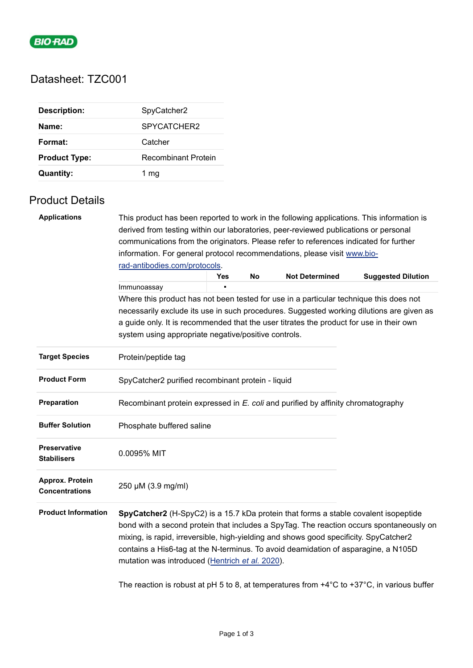

# Datasheet: TZC001

| <b>Description:</b>  | SpyCatcher2         |
|----------------------|---------------------|
| Name:                | SPYCATCHER2         |
| Format:              | Catcher             |
| <b>Product Type:</b> | Recombinant Protein |
| <b>Quantity:</b>     | 1 mq                |

# Product Details

| <b>Applications</b>                                                                    | This product has been reported to work in the following applications. This information is<br>derived from testing within our laboratories, peer-reviewed publications or personal<br>communications from the originators. Please refer to references indicated for further                                                                                                                                       |     |    |                       |                                                                                          |  |  |  |
|----------------------------------------------------------------------------------------|------------------------------------------------------------------------------------------------------------------------------------------------------------------------------------------------------------------------------------------------------------------------------------------------------------------------------------------------------------------------------------------------------------------|-----|----|-----------------------|------------------------------------------------------------------------------------------|--|--|--|
|                                                                                        | information. For general protocol recommendations, please visit www.bio-                                                                                                                                                                                                                                                                                                                                         |     |    |                       |                                                                                          |  |  |  |
|                                                                                        | rad-antibodies.com/protocols.                                                                                                                                                                                                                                                                                                                                                                                    |     |    |                       |                                                                                          |  |  |  |
|                                                                                        |                                                                                                                                                                                                                                                                                                                                                                                                                  | Yes | No | <b>Not Determined</b> | <b>Suggested Dilution</b>                                                                |  |  |  |
|                                                                                        | Immunoassay                                                                                                                                                                                                                                                                                                                                                                                                      |     |    |                       |                                                                                          |  |  |  |
| Where this product has not been tested for use in a particular technique this does not |                                                                                                                                                                                                                                                                                                                                                                                                                  |     |    |                       |                                                                                          |  |  |  |
|                                                                                        |                                                                                                                                                                                                                                                                                                                                                                                                                  |     |    |                       | necessarily exclude its use in such procedures. Suggested working dilutions are given as |  |  |  |
|                                                                                        | a guide only. It is recommended that the user titrates the product for use in their own<br>system using appropriate negative/positive controls.                                                                                                                                                                                                                                                                  |     |    |                       |                                                                                          |  |  |  |
| <b>Target Species</b>                                                                  | Protein/peptide tag                                                                                                                                                                                                                                                                                                                                                                                              |     |    |                       |                                                                                          |  |  |  |
| <b>Product Form</b>                                                                    | SpyCatcher2 purified recombinant protein - liquid                                                                                                                                                                                                                                                                                                                                                                |     |    |                       |                                                                                          |  |  |  |
| Preparation                                                                            | Recombinant protein expressed in E. coli and purified by affinity chromatography                                                                                                                                                                                                                                                                                                                                 |     |    |                       |                                                                                          |  |  |  |
| <b>Buffer Solution</b>                                                                 | Phosphate buffered saline                                                                                                                                                                                                                                                                                                                                                                                        |     |    |                       |                                                                                          |  |  |  |
| <b>Preservative</b><br><b>Stabilisers</b>                                              | 0.0095% MIT                                                                                                                                                                                                                                                                                                                                                                                                      |     |    |                       |                                                                                          |  |  |  |
| Approx. Protein<br><b>Concentrations</b>                                               | 250 µM (3.9 mg/ml)                                                                                                                                                                                                                                                                                                                                                                                               |     |    |                       |                                                                                          |  |  |  |
| <b>Product Information</b>                                                             | SpyCatcher2 (H-SpyC2) is a 15.7 kDa protein that forms a stable covalent isopeptide<br>bond with a second protein that includes a SpyTag. The reaction occurs spontaneously on<br>mixing, is rapid, irreversible, high-yielding and shows good specificity. SpyCatcher2<br>contains a His6-tag at the N-terminus. To avoid deamidation of asparagine, a N105D<br>mutation was introduced (Hentrich et al. 2020). |     |    |                       |                                                                                          |  |  |  |

The reaction is robust at pH 5 to 8, at temperatures from +4°C to +37°C, in various buffer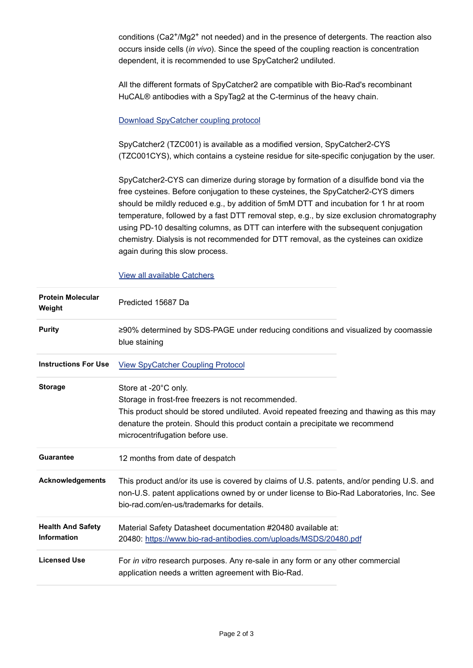conditions (Ca2+/Mg2+ not needed) and in the presence of detergents. The reaction also occurs inside cells (*in vivo*). Since the speed of the coupling reaction is concentration dependent, it is recommended to use SpyCatcher2 undiluted.

All the different formats of SpyCatcher2 are compatible with Bio-Rad's recombinant HuCAL® antibodies with a SpyTag2 at the C-terminus of the heavy chain.

### [Download SpyCatcher coupling protocol](https://www.bio-rad-antibodies.com/static/2021/custom/fab-antibody-coupling-to-monovalent-spycatchers.pdf)

SpyCatcher2 (TZC001) is available as a modified version, SpyCatcher2-CYS (TZC001CYS), which contains a cysteine residue for site-specific conjugation by the user.

SpyCatcher2-CYS can dimerize during storage by formation of a disulfide bond via the free cysteines. Before conjugation to these cysteines, the SpyCatcher2-CYS dimers should be mildly reduced e.g., by addition of 5mM DTT and incubation for 1 hr at room temperature, followed by a fast DTT removal step, e.g., by size exclusion chromatography using PD-10 desalting columns, as DTT can interfere with the subsequent conjugation chemistry. Dialysis is not recommended for DTT removal, as the cysteines can oxidize again during this slow process.

### [View all available Catchers](https://www.bio-rad-antibodies.com/spytag-spycatcher-products.html)

| <b>Protein Molecular</b><br>Weight             | Predicted 15687 Da                                                                                                                                                                                                                                                                        |
|------------------------------------------------|-------------------------------------------------------------------------------------------------------------------------------------------------------------------------------------------------------------------------------------------------------------------------------------------|
| <b>Purity</b>                                  | ≥90% determined by SDS-PAGE under reducing conditions and visualized by coomassie<br>blue staining                                                                                                                                                                                        |
| <b>Instructions For Use</b>                    | <b>View SpyCatcher Coupling Protocol</b>                                                                                                                                                                                                                                                  |
| <b>Storage</b>                                 | Store at -20°C only.<br>Storage in frost-free freezers is not recommended.<br>This product should be stored undiluted. Avoid repeated freezing and thawing as this may<br>denature the protein. Should this product contain a precipitate we recommend<br>microcentrifugation before use. |
| <b>Guarantee</b>                               | 12 months from date of despatch                                                                                                                                                                                                                                                           |
| Acknowledgements                               | This product and/or its use is covered by claims of U.S. patents, and/or pending U.S. and<br>non-U.S. patent applications owned by or under license to Bio-Rad Laboratories, Inc. See<br>bio-rad.com/en-us/trademarks for details.                                                        |
| <b>Health And Safety</b><br><b>Information</b> | Material Safety Datasheet documentation #20480 available at:<br>20480: https://www.bio-rad-antibodies.com/uploads/MSDS/20480.pdf                                                                                                                                                          |
| <b>Licensed Use</b>                            | For in vitro research purposes. Any re-sale in any form or any other commercial<br>application needs a written agreement with Bio-Rad.                                                                                                                                                    |